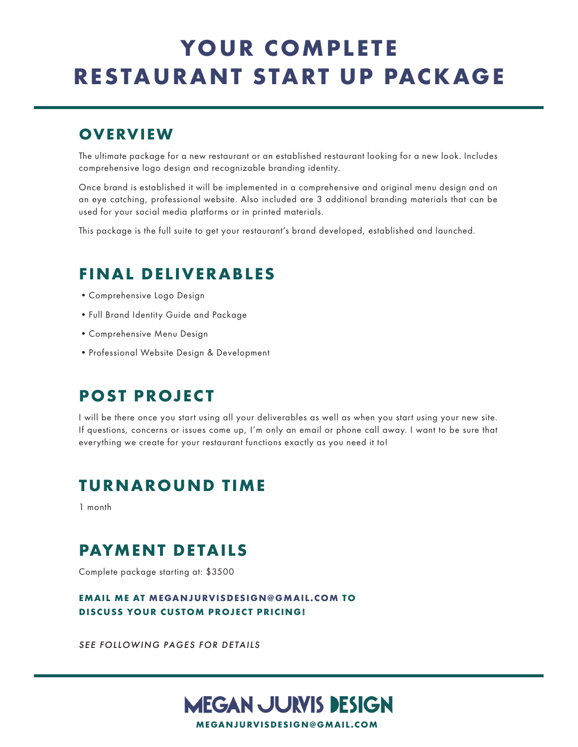# YOUR COMPLETE **RESTAURANT START UP PACKAGE**

## **OVERVIEW**

The ultimate package for a new restaurant or an established restaurant looking for a new look. Includes comprehensive logo design and recognizable branding identity.

Once brand is established it will be implemented in a comprehensive and original menu design and on an eye catching, professional website. Also included are 3 additional branding materials that can be used for your social media platforms or in printed materials.

This package is the full suite to get your restaurant's brand developed, established and launched.

## **FINAL DELIVERABLES**

- •Comprehensive Logo Design
- •Full Brand Identity Guide and Package
- •Comprehensive Menu Design
- •Professional Website Design & Development

## **POST PROJECT**

I will be there once you start using all your deliverables as well as when you start using your new site. If questions, concerns or issues come up, I'm only an email or phone call away. I want to be sure that everything we create for your restaurant functions exactly as you need it to!

## **TURNAROUND TIME**

1 month

## **PAYMENT DETAILS**

Complete package starting at: \$3500

### **EMAIL ME AT MEGANJURVISDESIGN@GMAIL.COM TO DISCUSS YOUR CUSTOM PROJECT PRICING!**

*SEE FOLLOWING PAGES FOR DETAILS*

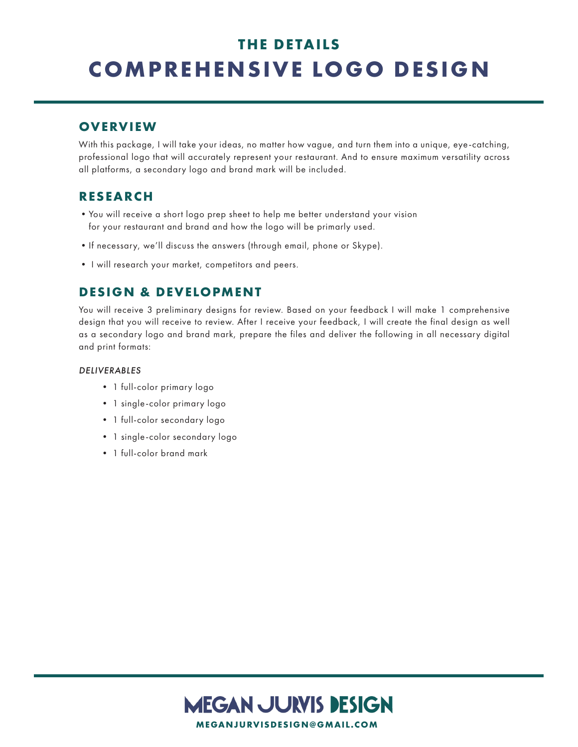# **THE DETAILS COMPREHENSIVE LOGO DESIGN**

## **OVERVIEW**

With this package, I will take your ideas, no matter how vague, and turn them into a unique, eye-catching, professional logo that will accurately represent your restaurant. And to ensure maximum versatility across all platforms, a secondary logo and brand mark will be included.

### **RESEARCH**

- •You will receive a short logo prep sheet to help me better understand your vision for your restaurant and brand and how the logo will be primarly used.
- •If necessary, we'll discuss the answers (through email, phone or Skype).
- I will research your market, competitors and peers.

## **DESIGN & DEVELOPMENT**

You will receive 3 preliminary designs for review. Based on your feedback I will make 1 comprehensive design that you will receive to review. After I receive your feedback, I will create the final design as well as a secondary logo and brand mark, prepare the files and deliver the following in all necessary digital and print formats:

#### *DELIVERABLES*

- 1 full-color primary logo
- 1 single-color primary logo
- 1 full-color secondary logo
- 1 single-color secondary logo
- 1 full-color brand mark

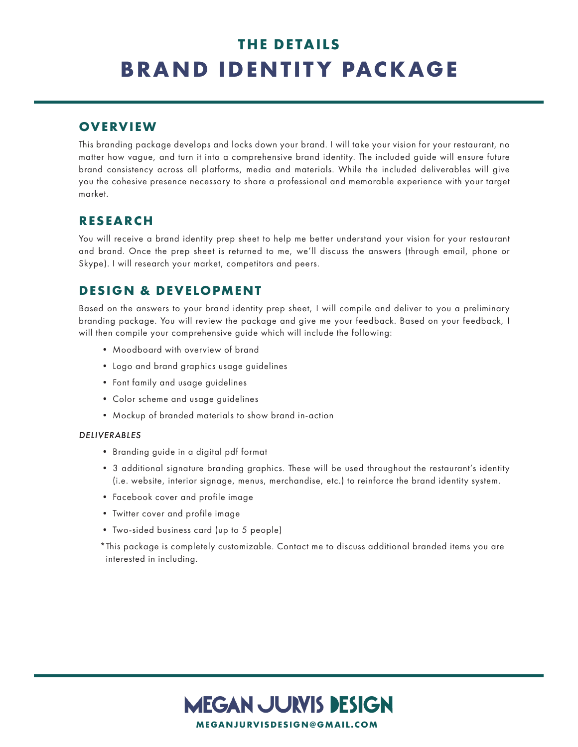# **THE DETAILS BRAND IDENTITY PACKAGE**

### **OVERVIEW**

This branding package develops and locks down your brand. I will take your vision for your restaurant, no matter how vague, and turn it into a comprehensive brand identity. The included guide will ensure future brand consistency across all platforms, media and materials. While the included deliverables will give you the cohesive presence necessary to share a professional and memorable experience with your target market.

### **RESEARCH**

You will receive a brand identity prep sheet to help me better understand your vision for your restaurant and brand. Once the prep sheet is returned to me, we'll discuss the answers (through email, phone or Skype). I will research your market, competitors and peers.

### **DESIGN & DEVELOPMENT**

Based on the answers to your brand identity prep sheet, I will compile and deliver to you a preliminary branding package. You will review the package and give me your feedback. Based on your feedback, I will then compile your comprehensive guide which will include the following:

- Moodboard with overview of brand
- Logo and brand graphics usage guidelines
- Font family and usage guidelines
- Color scheme and usage guidelines
- Mockup of branded materials to show brand in-action

#### *DELIVERABLES*

- Branding guide in a digital pdf format
- 3 additional signature branding graphics. These will be used throughout the restaurant's identity (i.e. website, interior signage, menus, merchandise, etc.) to reinforce the brand identity system.
- Facebook cover and profile image
- Twitter cover and profile image
- Two-sided business card (up to 5 people)

\*This package is completely customizable. Contact me to discuss additional branded items you are interested in including.

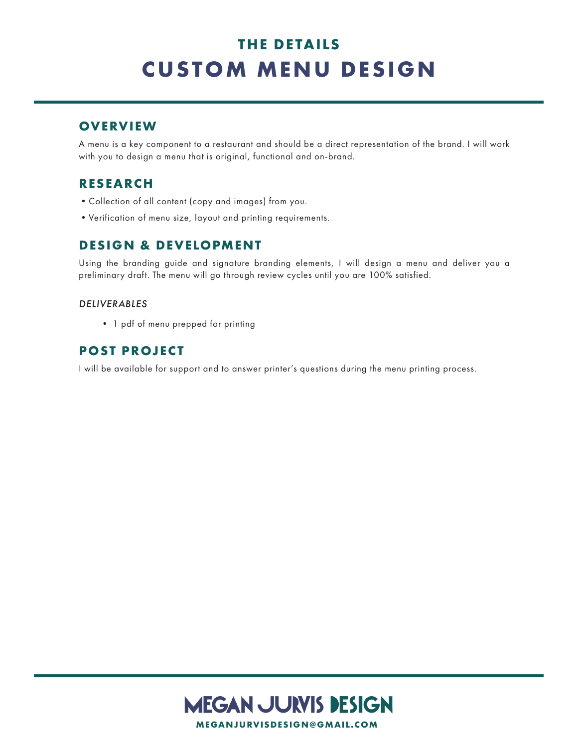# **THE DETAILS CUSTOM MENU DESIGN**

## **OVERVIEW**

A menu is a key component to a restaurant and should be a direct representation of the brand. I will work with you to design a menu that is original, functional and on-brand.

### **RESEARCH**

- •Collection of all content (copy and images) from you.
- •Verification of menu size, layout and printing requirements.

## **DESIGN & DEVELOPMENT**

Using the branding guide and signature branding elements, I will design a menu and deliver you a preliminary draft. The menu will go through review cycles until you are 100% satisfied.

### *DELIVERABLES*

• 1 pdf of menu prepped for printing

### **POST PROJECT**

I will be available for support and to answer printer's questions during the menu printing process.